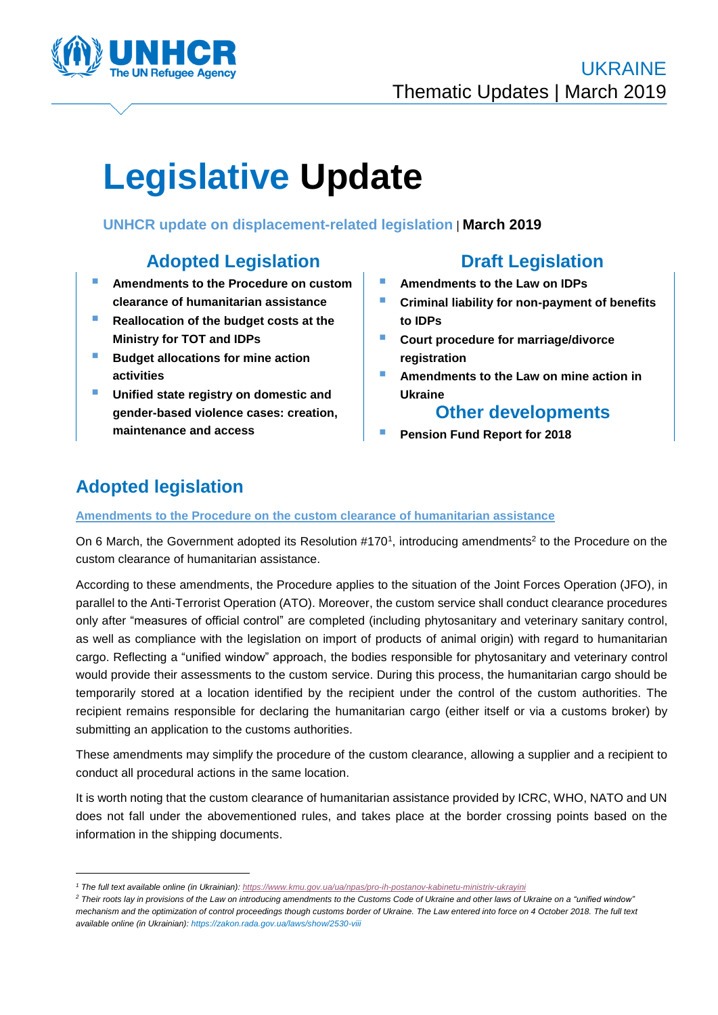

# **Legislative Update**

**UNHCR update on displacement-related legislation** | **March 2019**

### **Adopted Legislation Draft Legislation**

- **Amendments to the Procedure on custom clearance of humanitarian assistance**
- **Reallocation of the budget costs at the Ministry for TOT and IDPs**
- **Budget allocations for mine action activities**
- **Unified state registry on domestic and gender-based violence cases: creation, maintenance and access**

- **Amendments to the Law on IDPs**
- **Criminal liability for non-payment of benefits to IDPs**
- **Court procedure for marriage/divorce registration**
- **Amendments to the Law on mine action in Ukraine**

### **Other developments**

**Pension Fund Report for 2018**

## **Adopted legislation**

1

**Amendments to the Procedure on the custom clearance of humanitarian assistance**

On 6 March, the Government adopted its Resolution #170<sup>1</sup>, introducing amendments<sup>2</sup> to the Procedure on the custom clearance of humanitarian assistance.

According to these amendments, the Procedure applies to the situation of the Joint Forces Operation (JFO), in parallel to the Anti-Terrorist Operation (ATO). Moreover, the custom service shall conduct clearance procedures only after "measures of official control" are completed (including phytosanitary and veterinary sanitary control, as well as compliance with the legislation on import of products of animal origin) with regard to humanitarian cargo. Reflecting a "unified window" approach, the bodies responsible for phytosanitary and veterinary control would provide their assessments to the custom service. During this process, the humanitarian cargo should be temporarily stored at a location identified by the recipient under the control of the custom authorities. The recipient remains responsible for declaring the humanitarian cargo (either itself or via a customs broker) by submitting an application to the customs authorities.

These amendments may simplify the procedure of the custom clearance, allowing a supplier and a recipient to conduct all procedural actions in the same location.

It is worth noting that the custom clearance of humanitarian assistance provided by ICRC, WHO, NATO and UN does not fall under the abovementioned rules, and takes place at the border crossing points based on the information in the shipping documents.

*<sup>1</sup> The full text available online (in Ukrainian): <https://www.kmu.gov.ua/ua/npas/pro-ih-postanov-kabinetu-ministriv-ukrayini>*

*<sup>2</sup> Their roots lay in provisions of the Law on introducing amendments to the Customs Code of Ukraine and other laws of Ukraine on a "unified window" mechanism and the optimization of control proceedings though customs border of Ukraine. The Law entered into force on 4 October 2018. The full text available online (in Ukrainian)[: https://zakon.rada.gov.ua/laws/show/2530-viii](https://zakon.rada.gov.ua/laws/show/2530-viii)*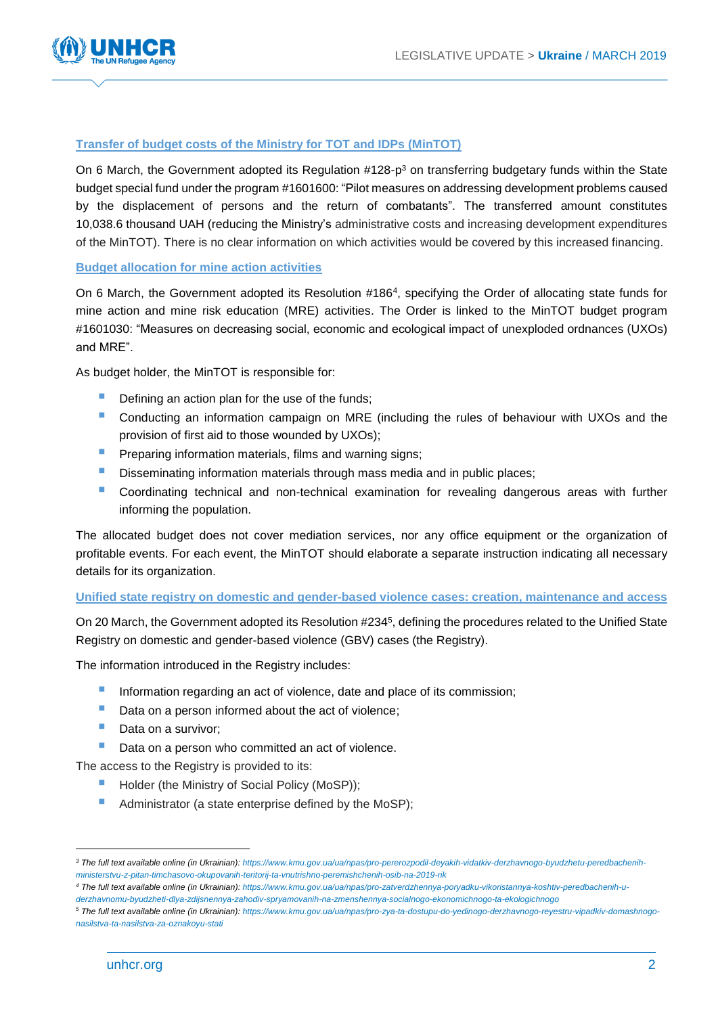

### **Transfer of budget costs of the Ministry for TOT and IDPs (MinTOT)**

On 6 March, the Government adopted its Regulation #128-p<sup>3</sup> on transferring budgetary funds within the State budget special fund under the program #1601600: "Pilot measures on addressing development problems caused by the displacement of persons and the return of combatants". The transferred amount constitutes 10,038.6 thousand UAH (reducing the Ministry's administrative costs and increasing development expenditures of the MinTOT). There is no clear information on which activities would be covered by this increased financing.

### **Budget allocation for mine action activities**

On 6 March, the Government adopted its Resolution #186<sup>4</sup> , specifying the Order of allocating state funds for mine action and mine risk education (MRE) activities. The Order is linked to the MinTOT budget program #1601030: "Measures on decreasing social, economic and ecological impact of unexploded ordnances (UXOs) and MRE".

As budget holder, the MinTOT is responsible for:

- Defining an action plan for the use of the funds;
- Conducting an information campaign on MRE (including the rules of behaviour with UXOs and the provision of first aid to those wounded by UXOs);
- Preparing information materials, films and warning signs;
- **Disseminating information materials through mass media and in public places;**
- **Coordinating technical and non-technical examination for revealing dangerous areas with further** informing the population.

The allocated budget does not cover mediation services, nor any office equipment or the organization of profitable events. For each event, the MinTOT should elaborate a separate instruction indicating all necessary details for its organization.

### **Unified state registry on domestic and gender-based violence cases: creation, maintenance and access**

On 20 March, the Government adopted its Resolution #234<sup>5</sup> , defining the procedures related to the Unified State Registry on domestic and gender-based violence (GBV) cases (the Registry).

The information introduced in the Registry includes:

- **Information regarding an act of violence, date and place of its commission;**
- Data on a person informed about the act of violence;
- Data on a survivor:
- Data on a person who committed an act of violence.

The access to the Registry is provided to its:

- Holder (the Ministry of Social Policy (MoSP));
- Administrator (a state enterprise defined by the MoSP);

<u>.</u>

*<sup>3</sup> The full text available online (in Ukrainian)[: https://www.kmu.gov.ua/ua/npas/pro-pererozpodil-deyakih-vidatkiv-derzhavnogo-byudzhetu-peredbachenih](https://www.kmu.gov.ua/ua/npas/pro-pererozpodil-deyakih-vidatkiv-derzhavnogo-byudzhetu-peredbachenih-ministerstvu-z-pitan-timchasovo-okupovanih-teritorij-ta-vnutrishno-peremishchenih-osib-na-2019-rik)[ministerstvu-z-pitan-timchasovo-okupovanih-teritorij-ta-vnutrishno-peremishchenih-osib-na-2019-rik](https://www.kmu.gov.ua/ua/npas/pro-pererozpodil-deyakih-vidatkiv-derzhavnogo-byudzhetu-peredbachenih-ministerstvu-z-pitan-timchasovo-okupovanih-teritorij-ta-vnutrishno-peremishchenih-osib-na-2019-rik)*

*<sup>4</sup> The full text available online (in Ukrainian)[: https://www.kmu.gov.ua/ua/npas/pro-zatverdzhennya-poryadku-vikoristannya-koshtiv-peredbachenih-u](https://www.kmu.gov.ua/ua/npas/pro-zatverdzhennya-poryadku-vikoristannya-koshtiv-peredbachenih-u-derzhavnomu-byudzheti-dlya-zdijsnennya-zahodiv-spryamovanih-na-zmenshennya-socialnogo-ekonomichnogo-ta-ekologichnogo)[derzhavnomu-byudzheti-dlya-zdijsnennya-zahodiv-spryamovanih-na-zmenshennya-socialnogo-ekonomichnogo-ta-ekologichnogo](https://www.kmu.gov.ua/ua/npas/pro-zatverdzhennya-poryadku-vikoristannya-koshtiv-peredbachenih-u-derzhavnomu-byudzheti-dlya-zdijsnennya-zahodiv-spryamovanih-na-zmenshennya-socialnogo-ekonomichnogo-ta-ekologichnogo)*

*<sup>5</sup> The full text available online (in Ukrainian): [https://www.kmu.gov.ua/ua/npas/pro-zya-ta-dostupu-do-yedinogo-derzhavnogo-reyestru-vipadkiv-domashnogo](https://www.kmu.gov.ua/ua/npas/pro-zya-ta-dostupu-do-yedinogo-derzhavnogo-reyestru-vipadkiv-domashnogo-nasilstva-ta-nasilstva-za-oznakoyu-stati)[nasilstva-ta-nasilstva-za-oznakoyu-stati](https://www.kmu.gov.ua/ua/npas/pro-zya-ta-dostupu-do-yedinogo-derzhavnogo-reyestru-vipadkiv-domashnogo-nasilstva-ta-nasilstva-za-oznakoyu-stati)*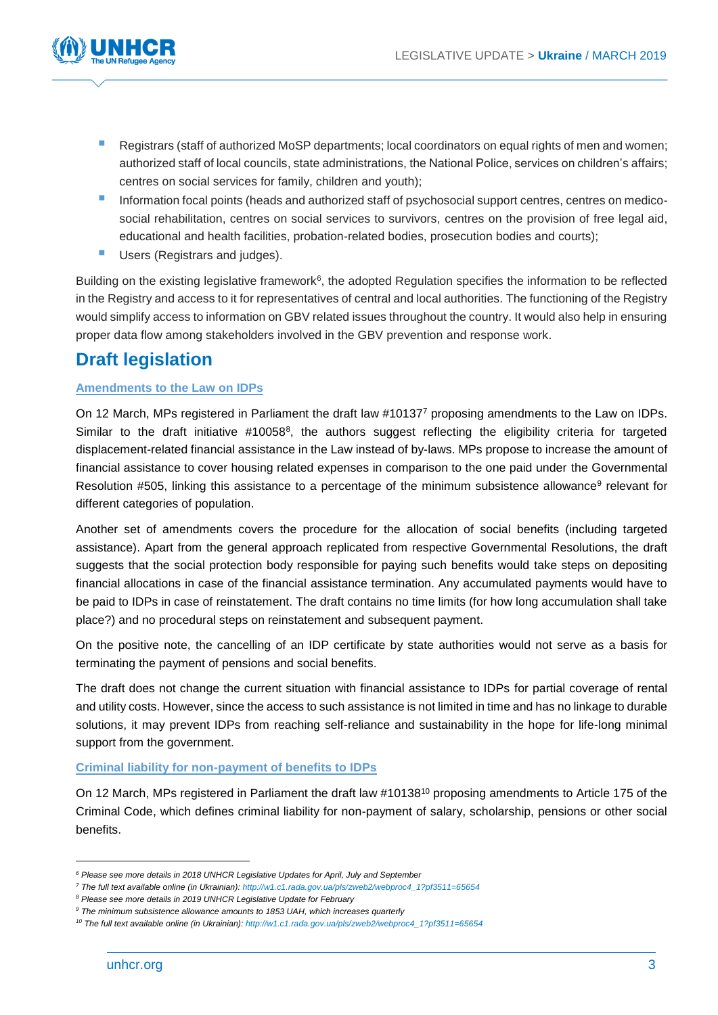

- **Registrars (staff of authorized MoSP departments; local coordinators on equal rights of men and women;** authorized staff of local councils, state administrations, the National Police, services on children's affairs; centres on social services for family, children and youth);
- Information focal points (heads and authorized staff of psychosocial support centres, centres on medicosocial rehabilitation, centres on social services to survivors, centres on the provision of free legal aid, educational and health facilities, probation-related bodies, prosecution bodies and courts);
- **Users (Registrars and judges).**

Building on the existing legislative framework<sup>6</sup>, the adopted Regulation specifies the information to be reflected in the Registry and access to it for representatives of central and local authorities. The functioning of the Registry would simplify access to information on GBV related issues throughout the country. It would also help in ensuring proper data flow among stakeholders involved in the GBV prevention and response work.

### **Draft legislation**

### **Amendments to the Law on IDPs**

On 12 March, MPs registered in Parliament the draft law #10137<sup>7</sup> proposing amendments to the Law on IDPs. Similar to the draft initiative #10058<sup>8</sup>, the authors suggest reflecting the eligibility criteria for targeted displacement-related financial assistance in the Law instead of by-laws. MPs propose to increase the amount of financial assistance to cover housing related expenses in comparison to the one paid under the Governmental Resolution #505, linking this assistance to a percentage of the minimum subsistence allowance<sup>9</sup> relevant for different categories of population.

Another set of amendments covers the procedure for the allocation of social benefits (including targeted assistance). Apart from the general approach replicated from respective Governmental Resolutions, the draft suggests that the social protection body responsible for paying such benefits would take steps on depositing financial allocations in case of the financial assistance termination. Any accumulated payments would have to be paid to IDPs in case of reinstatement. The draft contains no time limits (for how long accumulation shall take place?) and no procedural steps on reinstatement and subsequent payment.

On the positive note, the cancelling of an IDP certificate by state authorities would not serve as a basis for terminating the payment of pensions and social benefits.

The draft does not change the current situation with financial assistance to IDPs for partial coverage of rental and utility costs. However, since the access to such assistance is not limited in time and has no linkage to durable solutions, it may prevent IDPs from reaching self-reliance and sustainability in the hope for life-long minimal support from the government.

#### **Criminal liability for non-payment of benefits to IDPs**

On 12 March, MPs registered in Parliament the draft law #10138<sup>10</sup> proposing amendments to Article 175 of the Criminal Code, which defines criminal liability for non-payment of salary, scholarship, pensions or other social benefits.

<u>.</u>

*<sup>6</sup> Please see more details in 2018 UNHCR Legislative Updates for April, July and September*

*<sup>7</sup> The full text available online (in Ukrainian): [http://w1.c1.rada.gov.ua/pls/zweb2/webproc4\\_1?pf3511=65654](http://w1.c1.rada.gov.ua/pls/zweb2/webproc4_1?pf3511=65654)*

*<sup>8</sup> Please see more details in 2019 UNHCR Legislative Update for February* 

*<sup>9</sup> The minimum subsistence allowance amounts to 1853 UAH, which increases quarterly* 

*<sup>10</sup> The full text available online (in Ukrainian): [http://w1.c1.rada.gov.ua/pls/zweb2/webproc4\\_1?pf3511=65654](http://w1.c1.rada.gov.ua/pls/zweb2/webproc4_1?pf3511=65654)*